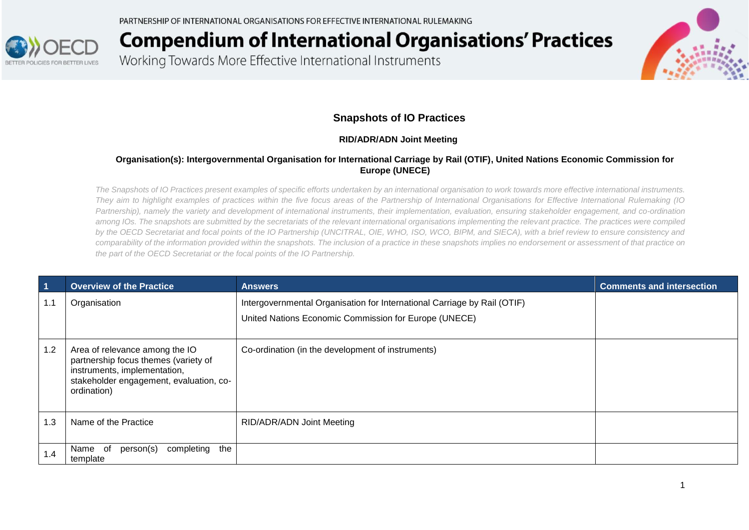PARTNERSHIP OF INTERNATIONAL ORGANISATIONS FOR EFFECTIVE INTERNATIONAL RULEMAKING



# **Compendium of International Organisations' Practices**

Working Towards More Effective International Instruments



### **Snapshots of IO Practices**

### **RID/ADR/ADN Joint Meeting**

#### **Organisation(s): Intergovernmental Organisation for International Carriage by Rail (OTIF), United Nations Economic Commission for Europe (UNECE)**

*The Snapshots of IO Practices present examples of specific efforts undertaken by an international organisation to work towards more effective international instruments. They aim to highlight examples of practices within the five focus areas of the Partnership of International Organisations for Effective International Rulemaking (IO*  Partnership), namely the variety and development of international instruments, their implementation, evaluation, ensuring stakeholder engagement, and co-ordination *among IOs. The snapshots are submitted by the secretariats of the relevant international organisations implementing the relevant practice. The practices were compiled by the OECD Secretariat and focal points of the IO Partnership (UNCITRAL, OIE, WHO, ISO, WCO, BIPM, and SIECA), with a brief review to ensure consistency and comparability of the information provided within the snapshots. The inclusion of a practice in these snapshots implies no endorsement or assessment of that practice on the part of the OECD Secretariat or the focal points of the IO Partnership.*

| $\overline{\mathbf{1}}$ | <b>Overview of the Practice</b>                                                                                                                                  | <b>Answers</b>                                                                                                                    | <b>Comments and intersection</b> |
|-------------------------|------------------------------------------------------------------------------------------------------------------------------------------------------------------|-----------------------------------------------------------------------------------------------------------------------------------|----------------------------------|
| 1.1                     | Organisation                                                                                                                                                     | Intergovernmental Organisation for International Carriage by Rail (OTIF)<br>United Nations Economic Commission for Europe (UNECE) |                                  |
| 1.2                     | Area of relevance among the IO<br>partnership focus themes (variety of<br>instruments, implementation,<br>stakeholder engagement, evaluation, co-<br>ordination) | Co-ordination (in the development of instruments)                                                                                 |                                  |
| 1.3                     | Name of the Practice                                                                                                                                             | RID/ADR/ADN Joint Meeting                                                                                                         |                                  |
| 1.4                     | the<br>completing<br>of<br>Name<br>person(s)<br>template                                                                                                         |                                                                                                                                   |                                  |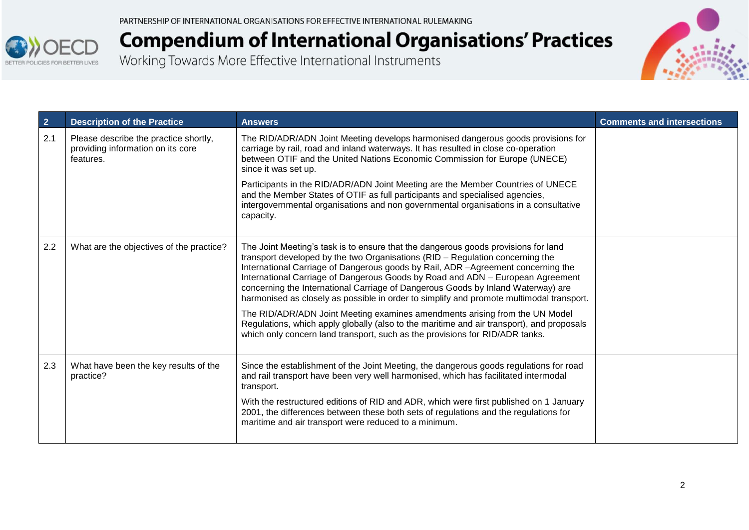



| $\overline{2}$ | <b>Description of the Practice</b>                                                      | <b>Answers</b>                                                                                                                                                                                                                                                                                                                                                                                                                                                                                                                                                                                                                                                                                                                                                                        | <b>Comments and intersections</b> |
|----------------|-----------------------------------------------------------------------------------------|---------------------------------------------------------------------------------------------------------------------------------------------------------------------------------------------------------------------------------------------------------------------------------------------------------------------------------------------------------------------------------------------------------------------------------------------------------------------------------------------------------------------------------------------------------------------------------------------------------------------------------------------------------------------------------------------------------------------------------------------------------------------------------------|-----------------------------------|
| 2.1            | Please describe the practice shortly,<br>providing information on its core<br>features. | The RID/ADR/ADN Joint Meeting develops harmonised dangerous goods provisions for<br>carriage by rail, road and inland waterways. It has resulted in close co-operation<br>between OTIF and the United Nations Economic Commission for Europe (UNECE)<br>since it was set up.                                                                                                                                                                                                                                                                                                                                                                                                                                                                                                          |                                   |
|                |                                                                                         | Participants in the RID/ADR/ADN Joint Meeting are the Member Countries of UNECE<br>and the Member States of OTIF as full participants and specialised agencies,<br>intergovernmental organisations and non governmental organisations in a consultative<br>capacity.                                                                                                                                                                                                                                                                                                                                                                                                                                                                                                                  |                                   |
| 2.2            | What are the objectives of the practice?                                                | The Joint Meeting's task is to ensure that the dangerous goods provisions for land<br>transport developed by the two Organisations (RID - Regulation concerning the<br>International Carriage of Dangerous goods by Rail, ADR -Agreement concerning the<br>International Carriage of Dangerous Goods by Road and ADN - European Agreement<br>concerning the International Carriage of Dangerous Goods by Inland Waterway) are<br>harmonised as closely as possible in order to simplify and promote multimodal transport.<br>The RID/ADR/ADN Joint Meeting examines amendments arising from the UN Model<br>Regulations, which apply globally (also to the maritime and air transport), and proposals<br>which only concern land transport, such as the provisions for RID/ADR tanks. |                                   |
| 2.3            | What have been the key results of the<br>practice?                                      | Since the establishment of the Joint Meeting, the dangerous goods regulations for road<br>and rail transport have been very well harmonised, which has facilitated intermodal<br>transport.<br>With the restructured editions of RID and ADR, which were first published on 1 January<br>2001, the differences between these both sets of regulations and the regulations for<br>maritime and air transport were reduced to a minimum.                                                                                                                                                                                                                                                                                                                                                |                                   |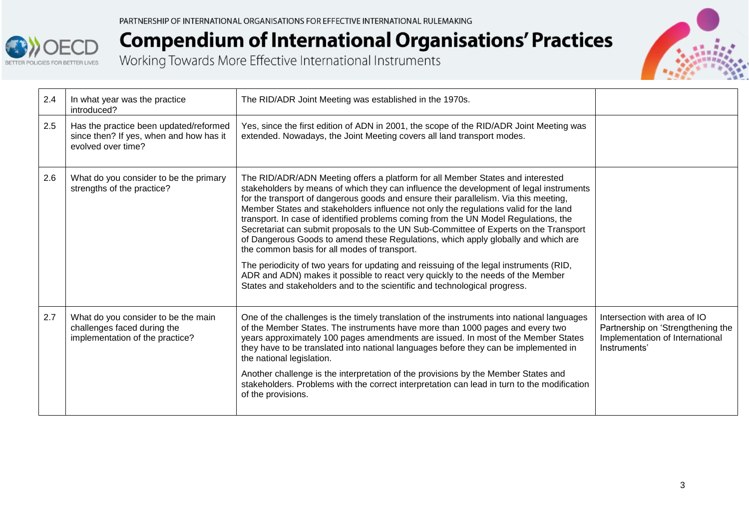

| 2.4 | In what year was the practice<br>introduced?                                                            | The RID/ADR Joint Meeting was established in the 1970s.                                                                                                                                                                                                                                                                                                                                                                                                                                                                                                                                                                                                                                                                                                                                                                                                                                                                                |                                                                                                                      |
|-----|---------------------------------------------------------------------------------------------------------|----------------------------------------------------------------------------------------------------------------------------------------------------------------------------------------------------------------------------------------------------------------------------------------------------------------------------------------------------------------------------------------------------------------------------------------------------------------------------------------------------------------------------------------------------------------------------------------------------------------------------------------------------------------------------------------------------------------------------------------------------------------------------------------------------------------------------------------------------------------------------------------------------------------------------------------|----------------------------------------------------------------------------------------------------------------------|
| 2.5 | Has the practice been updated/reformed<br>since then? If yes, when and how has it<br>evolved over time? | Yes, since the first edition of ADN in 2001, the scope of the RID/ADR Joint Meeting was<br>extended. Nowadays, the Joint Meeting covers all land transport modes.                                                                                                                                                                                                                                                                                                                                                                                                                                                                                                                                                                                                                                                                                                                                                                      |                                                                                                                      |
| 2.6 | What do you consider to be the primary<br>strengths of the practice?                                    | The RID/ADR/ADN Meeting offers a platform for all Member States and interested<br>stakeholders by means of which they can influence the development of legal instruments<br>for the transport of dangerous goods and ensure their parallelism. Via this meeting,<br>Member States and stakeholders influence not only the regulations valid for the land<br>transport. In case of identified problems coming from the UN Model Regulations, the<br>Secretariat can submit proposals to the UN Sub-Committee of Experts on the Transport<br>of Dangerous Goods to amend these Regulations, which apply globally and which are<br>the common basis for all modes of transport.<br>The periodicity of two years for updating and reissuing of the legal instruments (RID,<br>ADR and ADN) makes it possible to react very quickly to the needs of the Member<br>States and stakeholders and to the scientific and technological progress. |                                                                                                                      |
| 2.7 | What do you consider to be the main<br>challenges faced during the<br>implementation of the practice?   | One of the challenges is the timely translation of the instruments into national languages<br>of the Member States. The instruments have more than 1000 pages and every two<br>years approximately 100 pages amendments are issued. In most of the Member States<br>they have to be translated into national languages before they can be implemented in<br>the national legislation.<br>Another challenge is the interpretation of the provisions by the Member States and<br>stakeholders. Problems with the correct interpretation can lead in turn to the modification<br>of the provisions.                                                                                                                                                                                                                                                                                                                                       | Intersection with area of IO<br>Partnership on 'Strengthening the<br>Implementation of International<br>Instruments' |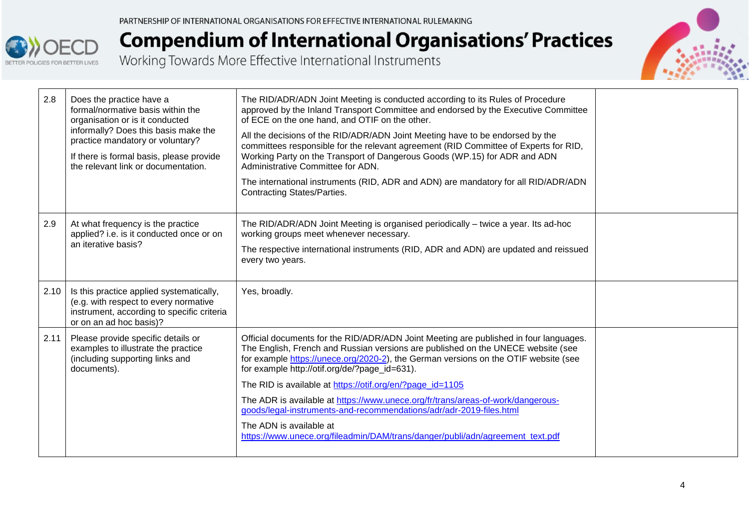

| 2.8  | Does the practice have a<br>formal/normative basis within the<br>organisation or is it conducted<br>informally? Does this basis make the<br>practice mandatory or voluntary?<br>If there is formal basis, please provide<br>the relevant link or documentation. | The RID/ADR/ADN Joint Meeting is conducted according to its Rules of Procedure<br>approved by the Inland Transport Committee and endorsed by the Executive Committee<br>of ECE on the one hand, and OTIF on the other.<br>All the decisions of the RID/ADR/ADN Joint Meeting have to be endorsed by the<br>committees responsible for the relevant agreement (RID Committee of Experts for RID,<br>Working Party on the Transport of Dangerous Goods (WP.15) for ADR and ADN<br>Administrative Committee for ADN.<br>The international instruments (RID, ADR and ADN) are mandatory for all RID/ADR/ADN<br><b>Contracting States/Parties.</b>        |  |
|------|-----------------------------------------------------------------------------------------------------------------------------------------------------------------------------------------------------------------------------------------------------------------|------------------------------------------------------------------------------------------------------------------------------------------------------------------------------------------------------------------------------------------------------------------------------------------------------------------------------------------------------------------------------------------------------------------------------------------------------------------------------------------------------------------------------------------------------------------------------------------------------------------------------------------------------|--|
| 2.9  | At what frequency is the practice<br>applied? i.e. is it conducted once or on<br>an iterative basis?                                                                                                                                                            | The RID/ADR/ADN Joint Meeting is organised periodically - twice a year. Its ad-hoc<br>working groups meet whenever necessary.<br>The respective international instruments (RID, ADR and ADN) are updated and reissued<br>every two years.                                                                                                                                                                                                                                                                                                                                                                                                            |  |
| 2.10 | Is this practice applied systematically,<br>(e.g. with respect to every normative<br>instrument, according to specific criteria<br>or on an ad hoc basis)?                                                                                                      | Yes, broadly.                                                                                                                                                                                                                                                                                                                                                                                                                                                                                                                                                                                                                                        |  |
| 2.11 | Please provide specific details or<br>examples to illustrate the practice<br>(including supporting links and<br>documents).                                                                                                                                     | Official documents for the RID/ADR/ADN Joint Meeting are published in four languages.<br>The English, French and Russian versions are published on the UNECE website (see<br>for example https://unece.org/2020-2), the German versions on the OTIF website (see<br>for example http://otif.org/de/?page_id=631).<br>The RID is available at https://otif.org/en/?page_id=1105<br>The ADR is available at https://www.unece.org/fr/trans/areas-of-work/dangerous-<br>goods/legal-instruments-and-recommendations/adr/adr-2019-files.html<br>The ADN is available at<br>https://www.unece.org/fileadmin/DAM/trans/danger/publi/adn/agreement_text.pdf |  |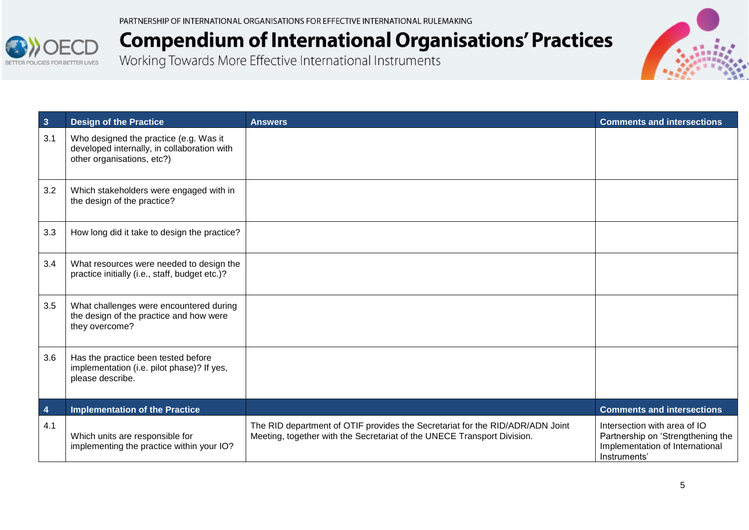PARTNERSHIP OF INTERNATIONAL ORGANISATIONS FOR EFFECTIVE INTERNATIONAL RULEMAKING

**Compendium of International Organisations' Practices** 

| $\overline{\mathbf{3}}$ | <b>Design of the Practice</b>                                                                                       | <b>Answers</b>                                                                                                                                           | <b>Comments and intersections</b>                                                                                    |
|-------------------------|---------------------------------------------------------------------------------------------------------------------|----------------------------------------------------------------------------------------------------------------------------------------------------------|----------------------------------------------------------------------------------------------------------------------|
| 3.1                     | Who designed the practice (e.g. Was it<br>developed internally, in collaboration with<br>other organisations, etc?) |                                                                                                                                                          |                                                                                                                      |
| 3.2                     | Which stakeholders were engaged with in<br>the design of the practice?                                              |                                                                                                                                                          |                                                                                                                      |
| 3.3                     | How long did it take to design the practice?                                                                        |                                                                                                                                                          |                                                                                                                      |
| 3.4                     | What resources were needed to design the<br>practice initially (i.e., staff, budget etc.)?                          |                                                                                                                                                          |                                                                                                                      |
| 3.5                     | What challenges were encountered during<br>the design of the practice and how were<br>they overcome?                |                                                                                                                                                          |                                                                                                                      |
| 3.6                     | Has the practice been tested before<br>implementation (i.e. pilot phase)? If yes,<br>please describe.               |                                                                                                                                                          |                                                                                                                      |
| $\overline{\mathbf{4}}$ | <b>Implementation of the Practice</b>                                                                               |                                                                                                                                                          | <b>Comments and intersections</b>                                                                                    |
| 4.1                     | Which units are responsible for<br>implementing the practice within your IO?                                        | The RID department of OTIF provides the Secretariat for the RID/ADR/ADN Joint<br>Meeting, together with the Secretariat of the UNECE Transport Division. | Intersection with area of IO<br>Partnership on 'Strengthening the<br>Implementation of International<br>Instruments' |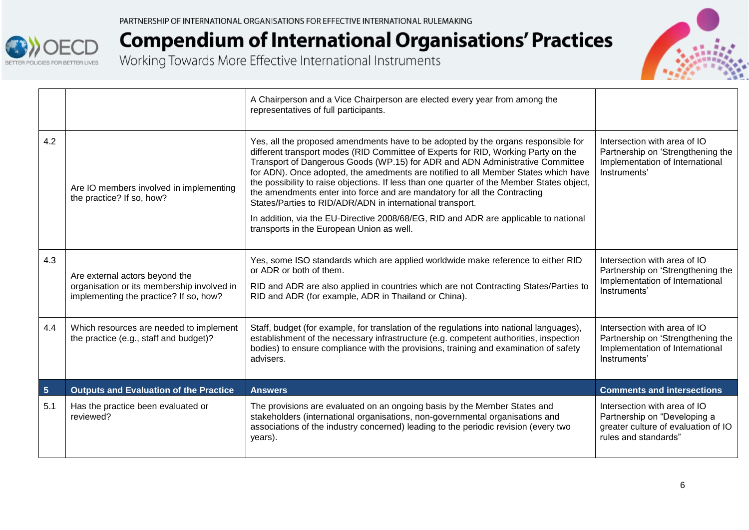

|                |                                                                                                                        | A Chairperson and a Vice Chairperson are elected every year from among the<br>representatives of full participants.                                                                                                                                                                                                                                                                                                                                                                                                                                                                   |                                                                                                                             |
|----------------|------------------------------------------------------------------------------------------------------------------------|---------------------------------------------------------------------------------------------------------------------------------------------------------------------------------------------------------------------------------------------------------------------------------------------------------------------------------------------------------------------------------------------------------------------------------------------------------------------------------------------------------------------------------------------------------------------------------------|-----------------------------------------------------------------------------------------------------------------------------|
| 4.2            | Are IO members involved in implementing<br>the practice? If so, how?                                                   | Yes, all the proposed amendments have to be adopted by the organs responsible for<br>different transport modes (RID Committee of Experts for RID, Working Party on the<br>Transport of Dangerous Goods (WP.15) for ADR and ADN Administrative Committee<br>for ADN). Once adopted, the amedments are notified to all Member States which have<br>the possibility to raise objections. If less than one quarter of the Member States object,<br>the amendments enter into force and are mandatory for all the Contracting<br>States/Parties to RID/ADR/ADN in international transport. | Intersection with area of IO<br>Partnership on 'Strengthening the<br>Implementation of International<br>Instruments'        |
|                |                                                                                                                        | In addition, via the EU-Directive 2008/68/EG, RID and ADR are applicable to national<br>transports in the European Union as well.                                                                                                                                                                                                                                                                                                                                                                                                                                                     |                                                                                                                             |
| 4.3            | Are external actors beyond the<br>organisation or its membership involved in<br>implementing the practice? If so, how? | Yes, some ISO standards which are applied worldwide make reference to either RID<br>or ADR or both of them.<br>RID and ADR are also applied in countries which are not Contracting States/Parties to<br>RID and ADR (for example, ADR in Thailand or China).                                                                                                                                                                                                                                                                                                                          | Intersection with area of IO<br>Partnership on 'Strengthening the<br>Implementation of International<br>Instruments'        |
| 4.4            | Which resources are needed to implement<br>the practice (e.g., staff and budget)?                                      | Staff, budget (for example, for translation of the regulations into national languages),<br>establishment of the necessary infrastructure (e.g. competent authorities, inspection<br>bodies) to ensure compliance with the provisions, training and examination of safety<br>advisers.                                                                                                                                                                                                                                                                                                | Intersection with area of IO<br>Partnership on 'Strengthening the<br>Implementation of International<br>Instruments'        |
| $\overline{5}$ | <b>Outputs and Evaluation of the Practice</b>                                                                          | <b>Answers</b>                                                                                                                                                                                                                                                                                                                                                                                                                                                                                                                                                                        | <b>Comments and intersections</b>                                                                                           |
| 5.1            | Has the practice been evaluated or<br>reviewed?                                                                        | The provisions are evaluated on an ongoing basis by the Member States and<br>stakeholders (international organisations, non-governmental organisations and<br>associations of the industry concerned) leading to the periodic revision (every two<br>years).                                                                                                                                                                                                                                                                                                                          | Intersection with area of IO<br>Partnership on "Developing a<br>greater culture of evaluation of IO<br>rules and standards" |